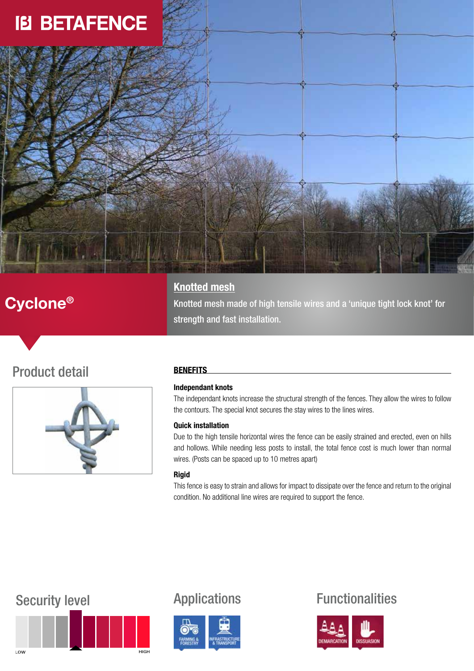# **IB BETAFENCE**

## Cyclone®

### **Knotted mesh**

Knotted mesh made of high tensile wires and a 'unique tight lock knot' for strength and fast installation.

## Product detail



### **BENEFITS**

### Independant knots

The independant knots increase the structural strength of the fences. They allow the wires to follow the contours. The special knot secures the stay wires to the lines wires.

### Quick installation

Due to the high tensile horizontal wires the fence can be easily strained and erected, even on hills and hollows. While needing less posts to install, the total fence cost is much lower than normal wires. (Posts can be spaced up to 10 metres apart)

### Rigid

This fence is easy to strain and allows for impact to dissipate over the fence and return to the original condition. No additional line wires are required to support the fence.





## Security level **Applications** Functionalities